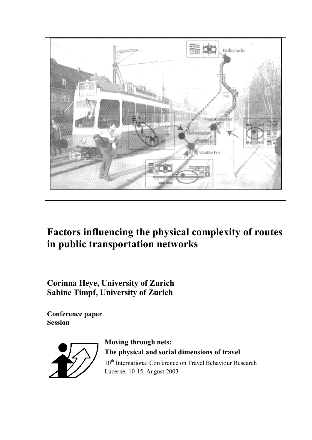

# **Factors influencing the physical complexity of routes in public transportation networks**

**Corinna Heye, University of Zurich Sabine Timpf, University of Zurich**

**Conference paper Session** 



**Moving through nets: The physical and social dimensions of travel** 10<sup>th</sup> International Conference on Travel Behaviour Research Lucerne, 10-15. August 2003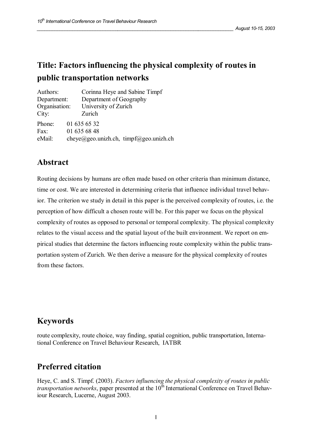# **Title: Factors influencing the physical complexity of routes in public transportation networks**

| Authors:      | Corinna Heye and Sabine Timpf          |  |
|---------------|----------------------------------------|--|
| Department:   | Department of Geography                |  |
| Organisation: | University of Zurich                   |  |
| City:         | Zurich                                 |  |
| Phone:        | 01 635 65 32                           |  |
| Fax:          | 01 635 68 48                           |  |
| eMail:        | cheye@geo.unizh.ch, timpf@geo.unizh.ch |  |

## **Abstract**

Routing decisions by humans are often made based on other criteria than minimum distance, time or cost. We are interested in determining criteria that influence individual travel behavior. The criterion we study in detail in this paper is the perceived complexity of routes, i.e. the perception of how difficult a chosen route will be. For this paper we focus on the physical complexity of routes as opposed to personal or temporal complexity. The physical complexity relates to the visual access and the spatial layout of the built environment. We report on empirical studies that determine the factors influencing route complexity within the public transportation system of Zurich. We then derive a measure for the physical complexity of routes from these factors.

## **Keywords**

route complexity, route choice, way finding, spatial cognition, public transportation, International Conference on Travel Behaviour Research, IATBR

## **Preferred citation**

Heye, C. and S. Timpf. (2003). *Factors influencing the physical complexity of routes in public transportation networks*, paper presented at the 10<sup>th</sup> International Conference on Travel Behaviour Research, Lucerne, August 2003.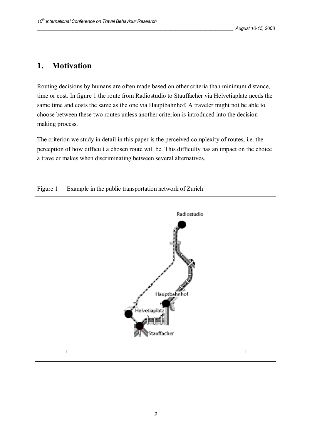## **1. Motivation**

Routing decisions by humans are often made based on other criteria than minimum distance, time or cost. In figure 1 the route from Radiostudio to Stauffacher via Helvetiaplatz needs the same time and costs the same as the one via Hauptbahnhof. A traveler might not be able to choose between these two routes unless another criterion is introduced into the decisionmaking process.

The criterion we study in detail in this paper is the perceived complexity of routes, i.e. the perception of how difficult a chosen route will be. This difficulty has an impact on the choice a traveler makes when discriminating between several alternatives.

### Figure 1 Example in the public transportation network of Zurich

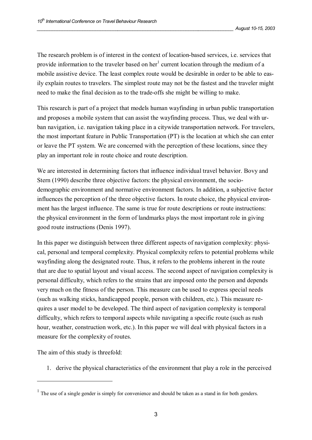The research problem is of interest in the context of location-based services, i.e. services that provide information to the traveler based on her<sup>1</sup> current location through the medium of a mobile assistive device. The least complex route would be desirable in order to be able to easily explain routes to travelers. The simplest route may not be the fastest and the traveler might need to make the final decision as to the trade-offs she might be willing to make.

This research is part of a project that models human wayfinding in urban public transportation and proposes a mobile system that can assist the wayfinding process. Thus, we deal with urban navigation, i.e. navigation taking place in a citywide transportation network. For travelers, the most important feature in Public Transportation (PT) is the location at which she can enter or leave the PT system. We are concerned with the perception of these locations, since they play an important role in route choice and route description.

We are interested in determining factors that influence individual travel behavior. Bovy and Stern (1990) describe three objective factors: the physical environment, the sociodemographic environment and normative environment factors. In addition, a subjective factor influences the perception of the three objective factors. In route choice, the physical environment has the largest influence. The same is true for route descriptions or route instructions: the physical environment in the form of landmarks plays the most important role in giving good route instructions (Denis 1997).

In this paper we distinguish between three different aspects of navigation complexity: physical, personal and temporal complexity. Physical complexity refers to potential problems while wayfinding along the designated route. Thus, it refers to the problems inherent in the route that are due to spatial layout and visual access. The second aspect of navigation complexity is personal difficulty, which refers to the strains that are imposed onto the person and depends very much on the fitness of the person. This measure can be used to express special needs (such as walking sticks, handicapped people, person with children, etc.). This measure requires a user model to be developed. The third aspect of navigation complexity is temporal difficulty, which refers to temporal aspects while navigating a specific route (such as rush hour, weather, construction work, etc.). In this paper we will deal with physical factors in a measure for the complexity of routes.

The aim of this study is threefold:

 $\overline{a}$ 

1. derive the physical characteristics of the environment that play a role in the perceived

 $<sup>1</sup>$  The use of a single gender is simply for convenience and should be taken as a stand in for both genders.</sup>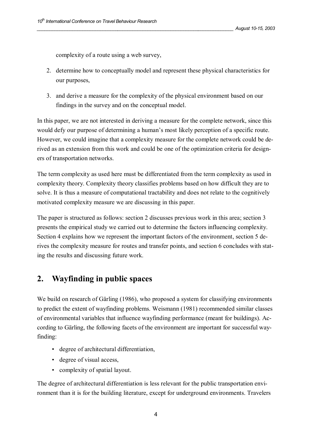complexity of a route using a web survey,

- 2. determine how to conceptually model and represent these physical characteristics for our purposes,
- 3. and derive a measure for the complexity of the physical environment based on our findings in the survey and on the conceptual model.

In this paper, we are not interested in deriving a measure for the complete network, since this would defy our purpose of determining a human's most likely perception of a specific route. However, we could imagine that a complexity measure for the complete network could be derived as an extension from this work and could be one of the optimization criteria for designers of transportation networks.

The term complexity as used here must be differentiated from the term complexity as used in complexity theory. Complexity theory classifies problems based on how difficult they are to solve. It is thus a measure of computational tractability and does not relate to the cognitively motivated complexity measure we are discussing in this paper.

The paper is structured as follows: section 2 discusses previous work in this area; section 3 presents the empirical study we carried out to determine the factors influencing complexity. Section 4 explains how we represent the important factors of the environment, section 5 derives the complexity measure for routes and transfer points, and section 6 concludes with stating the results and discussing future work.

## **2. Wayfinding in public spaces**

We build on research of Gärling (1986), who proposed a system for classifying environments to predict the extent of wayfinding problems. Weismann (1981) recommended similar classes of environmental variables that influence wayfinding performance (meant for buildings). According to Gärling, the following facets of the environment are important for successful wayfinding:

- degree of architectural differentiation,
- degree of visual access,
- complexity of spatial layout.

The degree of architectural differentiation is less relevant for the public transportation environment than it is for the building literature, except for underground environments. Travelers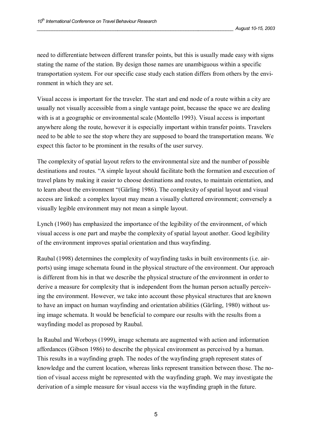need to differentiate between different transfer points, but this is usually made easy with signs stating the name of the station. By design those names are unambiguous within a specific transportation system. For our specific case study each station differs from others by the environment in which they are set.

Visual access is important for the traveler. The start and end node of a route within a city are usually not visually accessible from a single vantage point, because the space we are dealing with is at a geographic or environmental scale (Montello 1993). Visual access is important anywhere along the route, however it is especially important within transfer points. Travelers need to be able to see the stop where they are supposed to board the transportation means. We expect this factor to be prominent in the results of the user survey.

The complexity of spatial layout refers to the environmental size and the number of possible destinations and routes. "A simple layout should facilitate both the formation and execution of travel plans by making it easier to choose destinations and routes, to maintain orientation, and to learn about the environment "(Gärling 1986). The complexity of spatial layout and visual access are linked: a complex layout may mean a visually cluttered environment; conversely a visually legible environment may not mean a simple layout.

Lynch (1960) has emphasized the importance of the legibility of the environment, of which visual access is one part and maybe the complexity of spatial layout another. Good legibility of the environment improves spatial orientation and thus wayfinding.

Raubal (1998) determines the complexity of wayfinding tasks in built environments (i.e. airports) using image schemata found in the physical structure of the environment. Our approach is different from his in that we describe the physical structure of the environment in order to derive a measure for complexity that is independent from the human person actually perceiving the environment. However, we take into account those physical structures that are known to have an impact on human wayfinding and orientation abilities (Gärling, 1980) without using image schemata. It would be beneficial to compare our results with the results from a wayfinding model as proposed by Raubal.

In Raubal and Worboys (1999), image schemata are augmented with action and information affordances (Gibson 1986) to describe the physical environment as perceived by a human. This results in a wayfinding graph. The nodes of the wayfinding graph represent states of knowledge and the current location, whereas links represent transition between those. The notion of visual access might be represented with the wayfinding graph. We may investigate the derivation of a simple measure for visual access via the wayfinding graph in the future.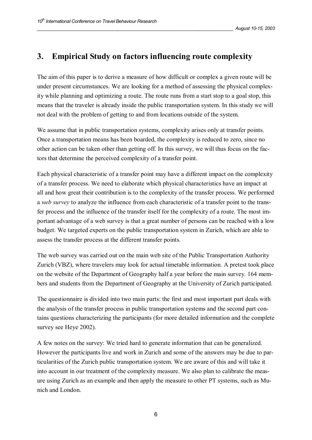## **3. Empirical Study on factors influencing route complexity**

The aim of this paper is to derive a measure of how difficult or complex a given route will be under present circumstances. We are looking for a method of assessing the physical complexity while planning and optimizing a route. The route runs from a start stop to a goal stop, this means that the traveler is already inside the public transportation system. In this study we will not deal with the problem of getting to and from locations outside of the system.

We assume that in public transportation systems, complexity arises only at transfer points. Once a transportation means has been boarded, the complexity is reduced to zero, since no other action can be taken other than getting off. In this survey, we will thus focus on the factors that determine the perceived complexity of a transfer point.

Each physical characteristic of a transfer point may have a different impact on the complexity of a transfer process. We need to elaborate which physical characteristics have an impact at all and how great their contribution is to the complexity of the transfer process. We performed a *web survey* to analyze the influence from each characteristic of a transfer point to the transfer process and the influence of the transfer itself for the complexity of a route. The most important advantage of a web survey is that a great number of persons can be reached with a low budget. We targeted experts on the public transportation system in Zurich, which are able to assess the transfer process at the different transfer points.

The web survey was carried out on the main web site of the Public Transportation Authority Zurich (VBZ), where travelers may look for actual timetable information. A pretest took place on the website of the Department of Geography half a year before the main survey. 164 members and students from the Department of Geography at the University of Zurich participated.

The questionnaire is divided into two main parts: the first and most important part deals with the analysis of the transfer process in public transportation systems and the second part contains questions characterizing the participants (for more detailed information and the complete survey see Heye 2002).

A few notes on the survey: We tried hard to generate information that can be generalized. However the participants live and work in Zurich and some of the answers may be due to particularities of the Zurich public transportation system. We are aware of this and will take it into account in our treatment of the complexity measure. We also plan to calibrate the measure using Zurich as an example and then apply the measure to other PT systems, such as Munich and London.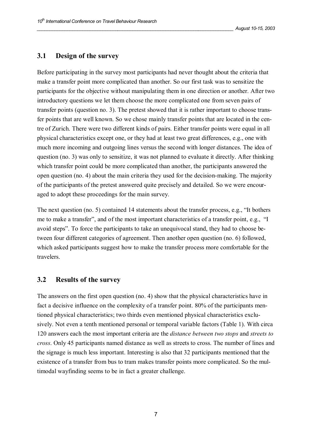### **3.1 Design of the survey**

Before participating in the survey most participants had never thought about the criteria that make a transfer point more complicated than another. So our first task was to sensitize the participants for the objective without manipulating them in one direction or another. After two introductory questions we let them choose the more complicated one from seven pairs of transfer points (question no. 3). The pretest showed that it is rather important to choose transfer points that are well known. So we chose mainly transfer points that are located in the centre of Zurich. There were two different kinds of pairs. Either transfer points were equal in all physical characteristics except one, or they had at least two great differences, e.g., one with much more incoming and outgoing lines versus the second with longer distances. The idea of question (no. 3) was only to sensitize, it was not planned to evaluate it directly. After thinking which transfer point could be more complicated than another, the participants answered the open question (no. 4) about the main criteria they used for the decision-making. The majority of the participants of the pretest answered quite precisely and detailed. So we were encouraged to adopt these proceedings for the main survey.

The next question (no. 5) contained 14 statements about the transfer process, e.g., "It bothers me to make a transfer", and of the most important characteristics of a transfer point, e.g., "I avoid steps". To force the participants to take an unequivocal stand, they had to choose between four different categories of agreement. Then another open question (no. 6) followed, which asked participants suggest how to make the transfer process more comfortable for the travelers.

### **3.2 Results of the survey**

The answers on the first open question (no. 4) show that the physical characteristics have in fact a decisive influence on the complexity of a transfer point. 80% of the participants mentioned physical characteristics; two thirds even mentioned physical characteristics exclusively. Not even a tenth mentioned personal or temporal variable factors (Table 1). With circa 120 answers each the most important criteria are the *distance between two stops* and *streets to cross*. Only 45 participants named distance as well as streets to cross. The number of lines and the signage is much less important. Interesting is also that 32 participants mentioned that the existence of a transfer from bus to tram makes transfer points more complicated. So the multimodal wayfinding seems to be in fact a greater challenge.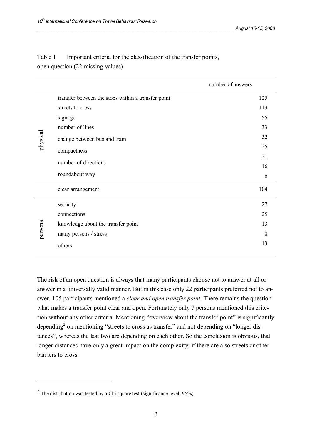|          |                                                    | number of answers |
|----------|----------------------------------------------------|-------------------|
| physical | transfer between the stops within a transfer point | 125               |
|          | streets to cross                                   | 113               |
|          | signage                                            | 55                |
|          | number of lines                                    | 33                |
|          | change between bus and tram                        | 32                |
|          | compactness                                        | 25                |
|          |                                                    | 21                |
|          | number of directions                               | 16                |
|          | roundabout way                                     | 6                 |
|          | clear arrangement                                  | 104               |
| personal | security                                           | 27                |
|          | connections                                        | 25                |
|          | knowledge about the transfer point                 | 13                |
|          | many persons / stress                              | 8                 |
|          | others                                             | 13                |

Table 1 Important criteria for the classification of the transfer points, open question (22 missing values)

The risk of an open question is always that many participants choose not to answer at all or answer in a universally valid manner. But in this case only 22 participants preferred not to answer. 105 participants mentioned a *clear and open transfer point*. There remains the question what makes a transfer point clear and open. Fortunately only 7 persons mentioned this criterion without any other criteria. Mentioning "overview about the transfer point" is significantly depending<sup>2</sup> on mentioning "streets to cross as transfer" and not depending on "longer distances", whereas the last two are depending on each other. So the conclusion is obvious, that longer distances have only a great impact on the complexity, if there are also streets or other barriers to cross.

 $\overline{a}$ 

<sup>&</sup>lt;sup>2</sup> The distribution was tested by a Chi square test (significance level: 95%).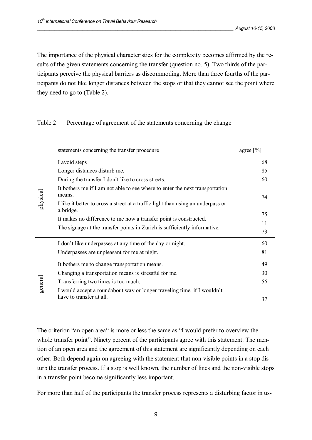The importance of the physical characteristics for the complexity becomes affirmed by the results of the given statements concerning the transfer (question no. 5). Two thirds of the participants perceive the physical barriers as discommoding. More than three fourths of the participants do not like longer distances between the stops or that they cannot see the point where they need to go to (Table 2).

### Table 2 Percentage of agreement of the statements concerning the change

|          | statements concerning the transfer procedure                                                  | agree $[\%]$ |
|----------|-----------------------------------------------------------------------------------------------|--------------|
| physical | I avoid steps                                                                                 | 68           |
|          | Longer distances disturb me.                                                                  | 85           |
|          | During the transfer I don't like to cross streets.                                            | 60           |
|          | It bothers me if I am not able to see where to enter the next transportation<br>means.        | 74           |
|          | I like it better to cross a street at a traffic light than using an underpass or<br>a bridge. |              |
|          | It makes no difference to me how a transfer point is constructed.                             | 75           |
|          | The signage at the transfer points in Zurich is sufficiently informative.                     | 11           |
|          |                                                                                               | 73           |
|          | I don't like underpasses at any time of the day or night.                                     | 60           |
|          | Underpasses are unpleasant for me at night.                                                   | 81           |
| general  | It bothers me to change transportation means.                                                 | 49           |
|          | Changing a transportation means is stressful for me.                                          | 30           |
|          | Transferring two times is too much.                                                           | 56           |
|          | I would accept a roundabout way or longer traveling time, if I wouldn't                       |              |
|          | have to transfer at all.                                                                      | 37           |
|          |                                                                                               |              |

The criterion "an open area" is more or less the same as "I would prefer to overview the whole transfer point". Ninety percent of the participants agree with this statement. The mention of an open area and the agreement of this statement are significantly depending on each other. Both depend again on agreeing with the statement that non-visible points in a stop disturb the transfer process. If a stop is well known, the number of lines and the non-visible stops in a transfer point become significantly less important.

For more than half of the participants the transfer process represents a disturbing factor in us-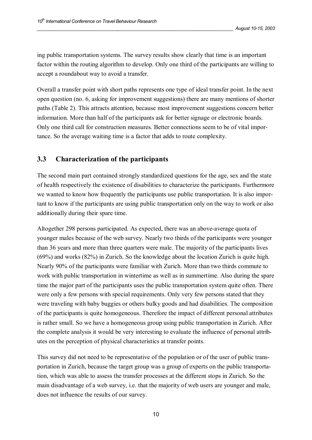ing public transportation systems. The survey results show clearly that time is an important factor within the routing algorithm to develop. Only one third of the participants are willing to accept a roundabout way to avoid a transfer.

Overall a transfer point with short paths represents one type of ideal transfer point. In the next open question (no. 6, asking for improvement suggestions) there are many mentions of shorter paths (Table 2). This attracts attention, because most improvement suggestions concern better information. More than half of the participants ask for better signage or electronic boards. Only one third call for construction measures. Better connections seem to be of vital importance. So the average waiting time is a factor that adds to route complexity.

### **3.3 Characterization of the participants**

The second main part contained strongly standardized questions for the age, sex and the state of health respectively the existence of disabilities to characterize the participants. Furthermore we wanted to know how frequently the participants use public transportation. It is also important to know if the participants are using public transportation only on the way to work or also additionally during their spare time.

Altogether 298 persons participated. As expected, there was an above-average quota of younger males because of the web survey. Nearly two thirds of the participants were younger than 36 years and more than three quarters were male. The majority of the participants lives (69%) and works (82%) in Zurich. So the knowledge about the location Zurich is quite high. Nearly 90% of the participants were familiar with Zurich. More than two thirds commute to work with public transportation in wintertime as well as in summertime. Also during the spare time the major part of the participants uses the public transportation system quite often. There were only a few persons with special requirements. Only very few persons stated that they were traveling with baby buggies or others bulky goods and had disabilities. The composition of the participants is quite homogeneous. Therefore the impact of different personal attributes is rather small. So we have a homogeneous group using public transportation in Zurich. After the complete analysis it would be very interesting to evaluate the influence of personal attributes on the perception of physical characteristics at transfer points.

This survey did not need to be representative of the population or of the user of public transportation in Zurich, because the target group was a group of experts on the public transportation, which was able to assess the transfer processes at the different stops in Zurich. So the main disadvantage of a web survey, i.e. that the majority of web users are younger and male, does not influence the results of our survey.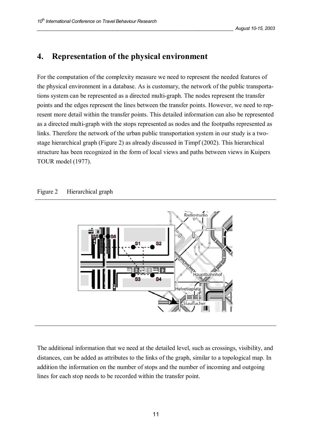## **4. Representation of the physical environment**

For the computation of the complexity measure we need to represent the needed features of the physical environment in a database. As is customary, the network of the public transportations system can be represented as a directed multi-graph. The nodes represent the transfer points and the edges represent the lines between the transfer points. However, we need to represent more detail within the transfer points. This detailed information can also be represented as a directed multi-graph with the stops represented as nodes and the footpaths represented as links. Therefore the network of the urban public transportation system in our study is a twostage hierarchical graph (Figure 2) as already discussed in Timpf (2002). This hierarchical structure has been recognized in the form of local views and paths between views in Kuipers TOUR model (1977).

#### Figure 2 Hierarchical graph



The additional information that we need at the detailed level, such as crossings, visibility, and distances, can be added as attributes to the links of the graph, similar to a topological map. In addition the information on the number of stops and the number of incoming and outgoing lines for each stop needs to be recorded within the transfer point.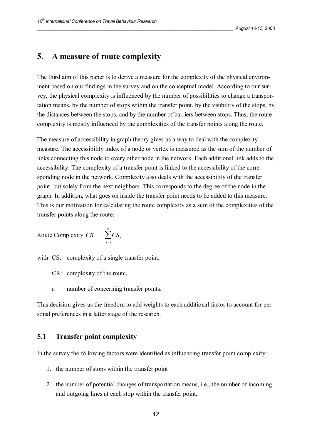### **5. A measure of route complexity**

The third aim of this paper is to derive a measure for the complexity of the physical environment based on our findings in the survey and on the conceptual model. According to our survey, the physical complexity is influenced by the number of possibilities to change a transportation means, by the number of stops within the transfer point, by the visibility of the stops, by the distances between the stops, and by the number of barriers between stops. Thus, the route complexity is mostly influenced by the complexities of the transfer points along the route.

The measure of accessibility in graph theory gives us a way to deal with the complexity measure. The accessibility index of a node or vertex is measured as the sum of the number of links connecting this node to every other node in the network. Each additional link adds to the accessibility. The complexity of a transfer point is linked to the accessibility of the corresponding node in the network. Complexity also deals with the accessibility of the transfer point, but solely from the next neighbors. This corresponds to the degree of the node in the graph. In addition, what goes on inside the transfer point needs to be added to this measure. This is our motivation for calculating the route complexity as a sum of the complexities of the transfer points along the route:

$$
\text{Route Complexity } CR = \sum_{j=1}^{r} CS_j
$$

with CS: complexity of a single transfer point,

CR: complexity of the route,

r: number of concerning transfer points.

This decision gives us the freedom to add weights to each additional factor to account for personal preferences in a latter stage of the research.

#### **5.1 Transfer point complexity**

In the survey the following factors were identified as influencing transfer point complexity:

- 1. the number of stops within the transfer point
- 2. the number of potential changes of transportation means, i.e., the number of incoming and outgoing lines at each stop within the transfer point,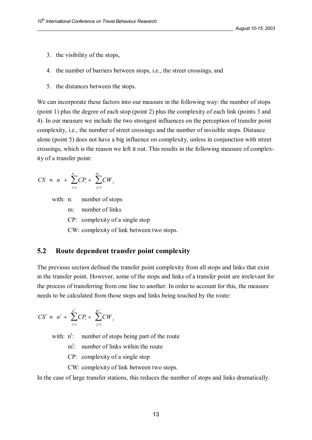- 3. the visibility of the stops,
- 4. the number of barriers between stops, i.e., the street crossings, and
- 5. the distances between the stops.

We can incorporate these factors into our measure in the following way: the number of stops (point 1) plus the degree of each stop (point 2) plus the complexity of each link (points 3 and 4). In our measure we include the two strongest influences on the perception of transfer point complexity, i.e., the number of street crossings and the number of invisible stops. Distance alone (point 5) does not have a big influence on complexity, unless in conjunction with street crossings, which is the reason we left it out. This results in the following measure of complexity of a transfer point:

$$
CS \approx n + \sum_{i=1}^{n} CP_i + \sum_{j=1}^{m} CW_j
$$

with: n: number of stops

m: number of links

CP: complexity of a single stop

CW: complexity of link between two stops.

### **5.2 Route dependent transfer point complexity**

The previous section defined the transfer point complexity from all stops and links that exist in the transfer point. However, some of the stops and links of a transfer point are irrelevant for the process of transferring from one line to another. In order to account for this, the measure needs to be calculated from those stops and links being touched by the route:

$$
CS^r \approx n^r + \sum_{i=1}^{n^r} CP_i + \sum_{j=1}^{m^r} CW_j
$$

with:  $n^r$ number of stops being part of the route

m<sup>r</sup>: number of links within the route

CP: complexity of a single stop

CW: complexity of link between two stops.

In the case of large transfer stations, this reduces the number of stops and links dramatically.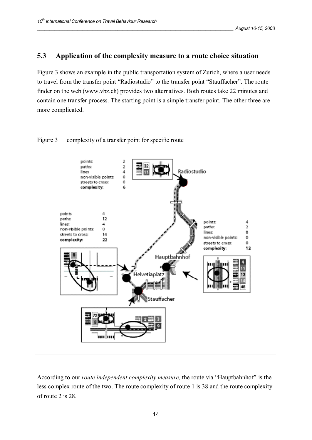### **5.3 Application of the complexity measure to a route choice situation**

Figure 3 shows an example in the public transportation system of Zurich, where a user needs to travel from the transfer point "Radiostudio" to the transfer point "Stauffacher". The route finder on the web (www.vbz.ch) provides two alternatives. Both routes take 22 minutes and contain one transfer process. The starting point is a simple transfer point. The other three are more complicated.

#### Figure 3 complexity of a transfer point for specific route



According to our *route independent complexity measure*, the route via "Hauptbahnhof" is the less complex route of the two. The route complexity of route 1 is 38 and the route complexity of route 2 is 28.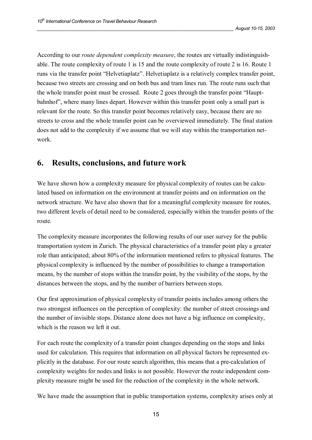According to our *route dependent complexity measure*, the routes are virtually indistinguishable. The route complexity of route 1 is 15 and the route complexity of route 2 is 16. Route 1 runs via the transfer point "Helvetiaplatz". Helvetiaplatz is a relatively complex transfer point, because two streets are crossing and on both bus and tram lines run. The route runs such that the whole transfer point must be crossed. Route 2 goes through the transfer point "Hauptbahnhof", where many lines depart. However within this transfer point only a small part is relevant for the route. So this transfer point becomes relatively easy, because there are no streets to cross and the whole transfer point can be overviewed immediately. The final station does not add to the complexity if we assume that we will stay within the transportation network.

## **6. Results, conclusions, and future work**

We have shown how a complexity measure for physical complexity of routes can be calculated based on information on the environment at transfer points and on information on the network structure. We have also shown that for a meaningful complexity measure for routes, two different levels of detail need to be considered, especially within the transfer points of the route.

The complexity measure incorporates the following results of our user survey for the public transportation system in Zurich. The physical characteristics of a transfer point play a greater role than anticipated; about 80% of the information mentioned refers to physical features. The physical complexity is influenced by the number of possibilities to change a transportation means, by the number of stops within the transfer point, by the visibility of the stops, by the distances between the stops, and by the number of barriers between stops.

Our first approximation of physical complexity of transfer points includes among others the two strongest influences on the perception of complexity: the number of street crossings and the number of invisible stops. Distance alone does not have a big influence on complexity, which is the reason we left it out.

For each route the complexity of a transfer point changes depending on the stops and links used for calculation. This requires that information on all physical factors be represented explicitly in the database. For our route search algorithm, this means that a pre-calculation of complexity weights for nodes and links is not possible. However the route independent complexity measure might be used for the reduction of the complexity in the whole network.

We have made the assumption that in public transportation systems, complexity arises only at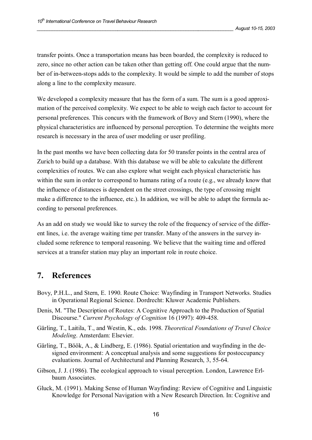transfer points. Once a transportation means has been boarded, the complexity is reduced to zero, since no other action can be taken other than getting off. One could argue that the number of in-between-stops adds to the complexity. It would be simple to add the number of stops along a line to the complexity measure.

We developed a complexity measure that has the form of a sum. The sum is a good approximation of the perceived complexity. We expect to be able to weigh each factor to account for personal preferences. This concurs with the framework of Bovy and Stern (1990), where the physical characteristics are influenced by personal perception. To determine the weights more research is necessary in the area of user modeling or user profiling.

In the past months we have been collecting data for 50 transfer points in the central area of Zurich to build up a database. With this database we will be able to calculate the different complexities of routes. We can also explore what weight each physical characteristic has within the sum in order to correspond to humans rating of a route (e.g., we already know that the influence of distances is dependent on the street crossings, the type of crossing might make a difference to the influence, etc.). In addition, we will be able to adapt the formula according to personal preferences.

As an add on study we would like to survey the role of the frequency of service of the different lines, i.e. the average waiting time per transfer. Many of the answers in the survey included some reference to temporal reasoning. We believe that the waiting time and offered services at a transfer station may play an important role in route choice.

## **7. References**

- Bovy, P.H.L., and Stern, E. 1990. Route Choice: Wayfinding in Transport Networks. Studies in Operational Regional Science. Dordrecht: Kluwer Academic Publishers.
- Denis, M. "The Description of Routes: A Cognitive Approach to the Production of Spatial Discourse." *Current Psychology of Cognition* 16 (1997): 409-458.
- Gärling, T., Laitila, T., and Westin, K., eds. 1998. *Theoretical Foundations of Travel Choice Modeling*. Amsterdam: Elsevier.
- Gärling, T., Böök, A., & Lindberg, E. (1986). Spatial orientation and wayfinding in the designed environment: A conceptual analysis and some suggestions for postoccupancy evaluations. Journal of Architectural and Planning Research, 3, 55-64.
- Gibson, J. J. (1986). The ecological approach to visual perception. London, Lawrence Erlbaum Associates.
- Gluck, M. (1991). Making Sense of Human Wayfinding: Review of Cognitive and Linguistic Knowledge for Personal Navigation with a New Research Direction. In: Cognitive and